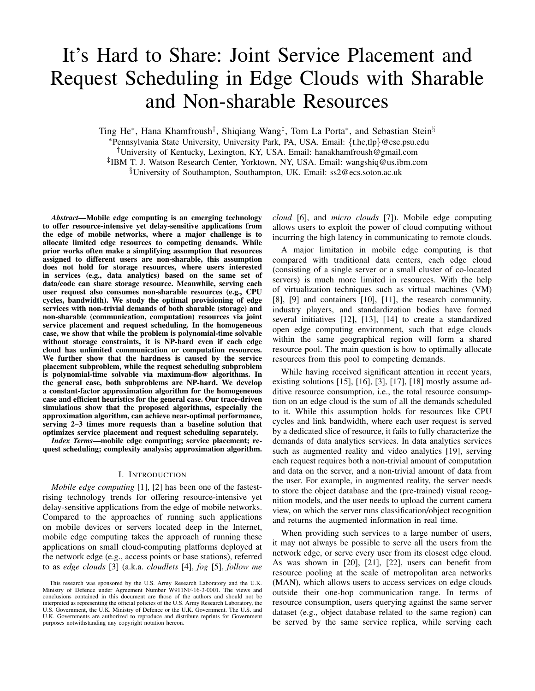# It's Hard to Share: Joint Service Placement and Request Scheduling in Edge Clouds with Sharable and Non-sharable Resources

Ting He<sup>∗</sup>, Hana Khamfroush<sup>†</sup>, Shiqiang Wang<sup>‡</sup>, Tom La Porta<sup>∗</sup>, and Sebastian Stein<sup>§</sup>

<sup>∗</sup>Pennsylvania State University, University Park, PA, USA. Email: {t.he,tlp}@cse.psu.edu

†University of Kentucky, Lexington, KY, USA. Email: hanakhamfroush@gmail.com

‡ IBM T. J. Watson Research Center, Yorktown, NY, USA. Email: wangshiq@us.ibm.com

§University of Southampton, Southampton, UK. Email: ss2@ecs.soton.ac.uk

*Abstract*—Mobile edge computing is an emerging technology to offer resource-intensive yet delay-sensitive applications from the edge of mobile networks, where a major challenge is to allocate limited edge resources to competing demands. While prior works often make a simplifying assumption that resources assigned to different users are non-sharable, this assumption does not hold for storage resources, where users interested in services (e.g., data analytics) based on the same set of data/code can share storage resource. Meanwhile, serving each user request also consumes non-sharable resources (e.g., CPU cycles, bandwidth). We study the optimal provisioning of edge services with non-trivial demands of both sharable (storage) and non-sharable (communication, computation) resources via joint service placement and request scheduling. In the homogeneous case, we show that while the problem is polynomial-time solvable without storage constraints, it is NP-hard even if each edge cloud has unlimited communication or computation resources. We further show that the hardness is caused by the service placement subproblem, while the request scheduling subproblem is polynomial-time solvable via maximum-flow algorithms. In the general case, both subproblems are NP-hard. We develop a constant-factor approximation algorithm for the homogeneous case and efficient heuristics for the general case. Our trace-driven simulations show that the proposed algorithms, especially the approximation algorithm, can achieve near-optimal performance, serving 2–3 times more requests than a baseline solution that optimizes service placement and request scheduling separately.

*Index Terms*—mobile edge computing; service placement; request scheduling; complexity analysis; approximation algorithm.

## I. INTRODUCTION

*Mobile edge computing* [1], [2] has been one of the fastestrising technology trends for offering resource-intensive yet delay-sensitive applications from the edge of mobile networks. Compared to the approaches of running such applications on mobile devices or servers located deep in the Internet, mobile edge computing takes the approach of running these applications on small cloud-computing platforms deployed at the network edge (e.g., access points or base stations), referred to as *edge clouds* [3] (a.k.a. *cloudlets* [4], *fog* [5], *follow me*

*cloud* [6], and *micro clouds* [7]). Mobile edge computing allows users to exploit the power of cloud computing without incurring the high latency in communicating to remote clouds.

A major limitation in mobile edge computing is that compared with traditional data centers, each edge cloud (consisting of a single server or a small cluster of co-located servers) is much more limited in resources. With the help of virtualization techniques such as virtual machines (VM) [8], [9] and containers [10], [11], the research community, industry players, and standardization bodies have formed several initiatives [12], [13], [14] to create a standardized open edge computing environment, such that edge clouds within the same geographical region will form a shared resource pool. The main question is how to optimally allocate resources from this pool to competing demands.

While having received significant attention in recent years, existing solutions  $[15]$ ,  $[16]$ ,  $[3]$ ,  $[17]$ ,  $[18]$  mostly assume additive resource consumption, i.e., the total resource consumption on an edge cloud is the sum of all the demands scheduled to it. While this assumption holds for resources like CPU cycles and link bandwidth, where each user request is served by a dedicated slice of resource, it fails to fully characterize the demands of data analytics services. In data analytics services such as augmented reality and video analytics [19], serving each request requires both a non-trivial amount of computation and data on the server, and a non-trivial amount of data from the user. For example, in augmented reality, the server needs to store the object database and the (pre-trained) visual recognition models, and the user needs to upload the current camera view, on which the server runs classification/object recognition and returns the augmented information in real time.

When providing such services to a large number of users, it may not always be possible to serve all the users from the network edge, or serve every user from its closest edge cloud. As was shown in [20], [21], [22], users can benefit from resource pooling at the scale of metropolitan area networks (MAN), which allows users to access services on edge clouds outside their one-hop communication range. In terms of resource consumption, users querying against the same server dataset (e.g., object database related to the same region) can be served by the same service replica, while serving each

This research was sponsored by the U.S. Army Research Laboratory and the U.K. Ministry of Defence under Agreement Number W911NF-16-3-0001. The views and conclusions contained in this document are those of the authors and should not be interpreted as representing the official policies of the U.S. Army Research Laboratory, the U.S. Government, the U.K. Ministry of Defence or the U.K. Government. The U.S. and U.K. Governments are authorized to reproduce and distribute reprints for Government purposes notwithstanding any copyright notation hereon.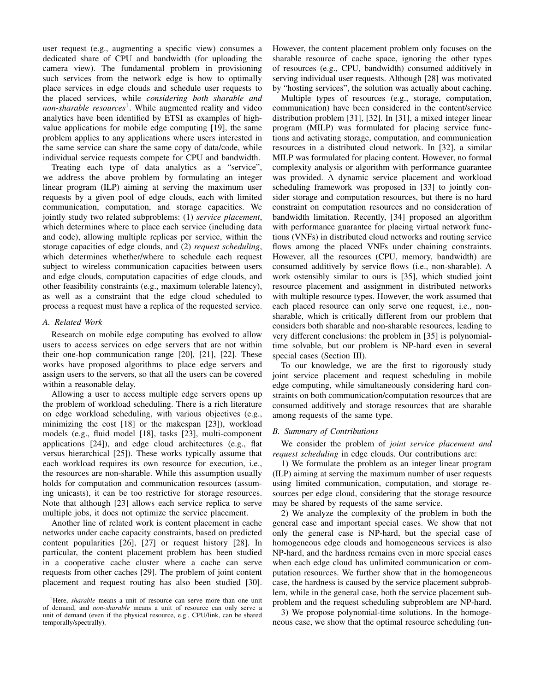user request (e.g., augmenting a specific view) consumes a dedicated share of CPU and bandwidth (for uploading the camera view). The fundamental problem in provisioning such services from the network edge is how to optimally place services in edge clouds and schedule user requests to the placed services, while *considering both sharable and non-sharable resources*<sup>1</sup> . While augmented reality and video analytics have been identified by ETSI as examples of highvalue applications for mobile edge computing [19], the same problem applies to any applications where users interested in the same service can share the same copy of data/code, while individual service requests compete for CPU and bandwidth.

Treating each type of data analytics as a "service", we address the above problem by formulating an integer linear program (ILP) aiming at serving the maximum user requests by a given pool of edge clouds, each with limited communication, computation, and storage capacities. We jointly study two related subproblems: (1) *service placement*, which determines where to place each service (including data and code), allowing multiple replicas per service, within the storage capacities of edge clouds, and (2) *request scheduling*, which determines whether/where to schedule each request subject to wireless communication capacities between users and edge clouds, computation capacities of edge clouds, and other feasibility constraints (e.g., maximum tolerable latency), as well as a constraint that the edge cloud scheduled to process a request must have a replica of the requested service.

### *A. Related Work*

Research on mobile edge computing has evolved to allow users to access services on edge servers that are not within their one-hop communication range [20], [21], [22]. These works have proposed algorithms to place edge servers and assign users to the servers, so that all the users can be covered within a reasonable delay.

Allowing a user to access multiple edge servers opens up the problem of workload scheduling. There is a rich literature on edge workload scheduling, with various objectives (e.g., minimizing the cost [18] or the makespan [23]), workload models (e.g., fluid model [18], tasks [23], multi-component applications [24]), and edge cloud architectures (e.g., flat versus hierarchical [25]). These works typically assume that each workload requires its own resource for execution, i.e., the resources are non-sharable. While this assumption usually holds for computation and communication resources (assuming unicasts), it can be too restrictive for storage resources. Note that although [23] allows each service replica to serve multiple jobs, it does not optimize the service placement.

Another line of related work is content placement in cache networks under cache capacity constraints, based on predicted content popularities [26], [27] or request history [28]. In particular, the content placement problem has been studied in a cooperative cache cluster where a cache can serve requests from other caches [29]. The problem of joint content placement and request routing has also been studied [30].

However, the content placement problem only focuses on the sharable resource of cache space, ignoring the other types of resources (e.g., CPU, bandwidth) consumed additively in serving individual user requests. Although [28] was motivated by "hosting services", the solution was actually about caching.

Multiple types of resources (e.g., storage, computation, communication) have been considered in the content/service distribution problem [31], [32]. In [31], a mixed integer linear program (MILP) was formulated for placing service functions and activating storage, computation, and communication resources in a distributed cloud network. In [32], a similar MILP was formulated for placing content. However, no formal complexity analysis or algorithm with performance guarantee was provided. A dynamic service placement and workload scheduling framework was proposed in [33] to jointly consider storage and computation resources, but there is no hard constraint on computation resources and no consideration of bandwidth limitation. Recently, [34] proposed an algorithm with performance guarantee for placing virtual network functions (VNFs) in distributed cloud networks and routing service flows among the placed VNFs under chaining constraints. However, all the resources (CPU, memory, bandwidth) are consumed additively by service flows (i.e., non-sharable). A work ostensibly similar to ours is [35], which studied joint resource placement and assignment in distributed networks with multiple resource types. However, the work assumed that each placed resource can only serve one request, i.e., nonsharable, which is critically different from our problem that considers both sharable and non-sharable resources, leading to very different conclusions: the problem in [35] is polynomialtime solvable, but our problem is NP-hard even in several special cases (Section III).

To our knowledge, we are the first to rigorously study joint service placement and request scheduling in mobile edge computing, while simultaneously considering hard constraints on both communication/computation resources that are consumed additively and storage resources that are sharable among requests of the same type.

## *B. Summary of Contributions*

We consider the problem of *joint service placement and request scheduling* in edge clouds. Our contributions are:

1) We formulate the problem as an integer linear program (ILP) aiming at serving the maximum number of user requests using limited communication, computation, and storage resources per edge cloud, considering that the storage resource may be shared by requests of the same service.

2) We analyze the complexity of the problem in both the general case and important special cases. We show that not only the general case is NP-hard, but the special case of homogeneous edge clouds and homogeneous services is also NP-hard, and the hardness remains even in more special cases when each edge cloud has unlimited communication or computation resources. We further show that in the homogeneous case, the hardness is caused by the service placement subproblem, while in the general case, both the service placement subproblem and the request scheduling subproblem are NP-hard.

3) We propose polynomial-time solutions. In the homogeneous case, we show that the optimal resource scheduling (un-

<sup>&</sup>lt;sup>1</sup>Here, *sharable* means a unit of resource can serve more than one unit of demand, and *non-sharable* means a unit of resource can only serve a unit of demand (even if the physical resource, e.g., CPU/link, can be shared temporally/spectrally).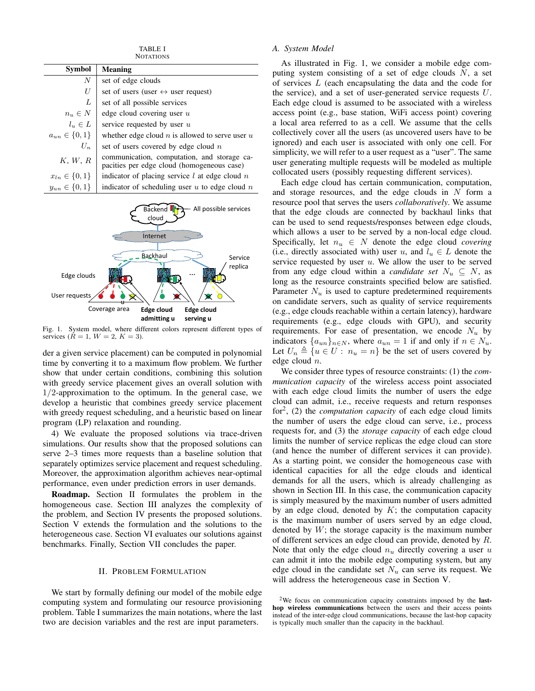TABLE I **NOTATIONS** 

| Symbol                | <b>Meaning</b>                                                                            |
|-----------------------|-------------------------------------------------------------------------------------------|
| N                     | set of edge clouds                                                                        |
| U                     | set of users (user $\leftrightarrow$ user request)                                        |
| L                     | set of all possible services                                                              |
| $n_u \in N$           | edge cloud covering user $u$                                                              |
| $l_u \in L$           | service requested by user $u$                                                             |
| $a_{un} \in \{0, 1\}$ | whether edge cloud $n$ is allowed to serve user $u$                                       |
| $U_n$                 | set of users covered by edge cloud $n$                                                    |
| K, W, R               | communication, computation, and storage ca-<br>pacities per edge cloud (homogeneous case) |
| $x_{ln} \in \{0, 1\}$ | indicator of placing service $l$ at edge cloud $n$                                        |
| $y_{un} \in \{0, 1\}$ | indicator of scheduling user $u$ to edge cloud $n$                                        |



Fig. 1. System model, where different colors represent different types of services ( $\dot{R} = 1, W = 2, K = 3$ ).

der a given service placement) can be computed in polynomial time by converting it to a maximum flow problem. We further show that under certain conditions, combining this solution with greedy service placement gives an overall solution with  $1/2$ -approximation to the optimum. In the general case, we develop a heuristic that combines greedy service placement with greedy request scheduling, and a heuristic based on linear program (LP) relaxation and rounding.

4) We evaluate the proposed solutions via trace-driven simulations. Our results show that the proposed solutions can serve 2–3 times more requests than a baseline solution that separately optimizes service placement and request scheduling. Moreover, the approximation algorithm achieves near-optimal performance, even under prediction errors in user demands.

Roadmap. Section II formulates the problem in the homogeneous case. Section III analyzes the complexity of the problem, and Section IV presents the proposed solutions. Section V extends the formulation and the solutions to the heterogeneous case. Section VI evaluates our solutions against benchmarks. Finally, Section VII concludes the paper.

## II. PROBLEM FORMULATION

We start by formally defining our model of the mobile edge computing system and formulating our resource provisioning problem. Table I summarizes the main notations, where the last two are decision variables and the rest are input parameters.

## *A. System Model*

As illustrated in Fig. 1, we consider a mobile edge computing system consisting of a set of edge clouds  $N$ , a set of services L (each encapsulating the data and the code for the service), and a set of user-generated service requests  $U$ . Each edge cloud is assumed to be associated with a wireless access point (e.g., base station, WiFi access point) covering a local area referred to as a cell. We assume that the cells collectively cover all the users (as uncovered users have to be ignored) and each user is associated with only one cell. For simplicity, we will refer to a user request as a "user". The same user generating multiple requests will be modeled as multiple collocated users (possibly requesting different services).

Each edge cloud has certain communication, computation, and storage resources, and the edge clouds in N form a resource pool that serves the users *collaboratively*. We assume that the edge clouds are connected by backhaul links that can be used to send requests/responses between edge clouds, which allows a user to be served by a non-local edge cloud. Specifically, let  $n_u \in N$  denote the edge cloud *covering* (i.e., directly associated with) user u, and  $l_u \in L$  denote the service requested by user  $u$ . We allow the user to be served from any edge cloud within a *candidate set*  $N_u \subseteq N$ , as long as the resource constraints specified below are satisfied. Parameter  $N_u$  is used to capture predetermined requirements on candidate servers, such as quality of service requirements (e.g., edge clouds reachable within a certain latency), hardware requirements (e.g., edge clouds with GPU), and security requirements. For ease of presentation, we encode  $N_u$  by indicators  $\{a_{un}\}_{n\in\mathbb{N}}$ , where  $a_{un} = 1$  if and only if  $n \in \mathbb{N}_u$ . Let  $U_n \triangleq \{u \in U : n_u = n\}$  be the set of users covered by edge cloud n.

We consider three types of resource constraints: (1) the *communication capacity* of the wireless access point associated with each edge cloud limits the number of users the edge cloud can admit, i.e., receive requests and return responses for<sup>2</sup> , (2) the *computation capacity* of each edge cloud limits the number of users the edge cloud can serve, i.e., process requests for, and (3) the *storage capacity* of each edge cloud limits the number of service replicas the edge cloud can store (and hence the number of different services it can provide). As a starting point, we consider the homogeneous case with identical capacities for all the edge clouds and identical demands for all the users, which is already challenging as shown in Section III. In this case, the communication capacity is simply measured by the maximum number of users admitted by an edge cloud, denoted by  $K$ ; the computation capacity is the maximum number of users served by an edge cloud, denoted by  $W$ ; the storage capacity is the maximum number of different services an edge cloud can provide, denoted by R. Note that only the edge cloud  $n_u$  directly covering a user u can admit it into the mobile edge computing system, but any edge cloud in the candidate set  $N_u$  can serve its request. We will address the heterogeneous case in Section V.

<sup>2</sup>We focus on communication capacity constraints imposed by the lasthop wireless communications between the users and their access points instead of the inter-edge cloud communications, because the last-hop capacity is typically much smaller than the capacity in the backhaul.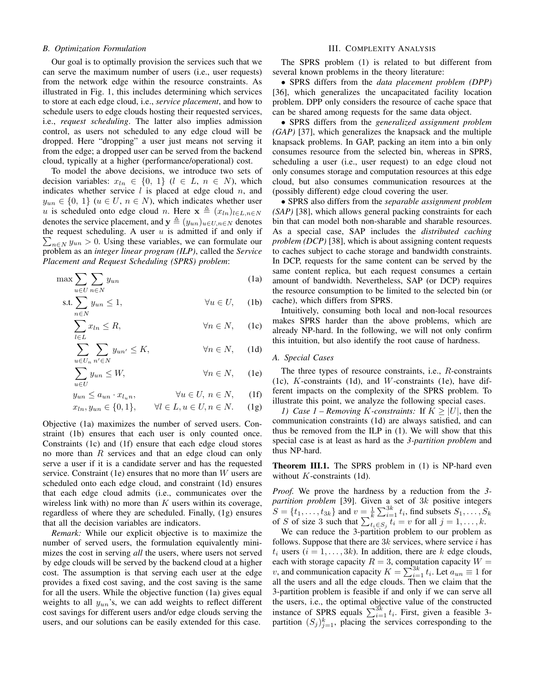#### *B. Optimization Formulation*

Our goal is to optimally provision the services such that we can serve the maximum number of users (i.e., user requests) from the network edge within the resource constraints. As illustrated in Fig. 1, this includes determining which services to store at each edge cloud, i.e., *service placement*, and how to schedule users to edge clouds hosting their requested services, i.e., *request scheduling*. The latter also implies admission control, as users not scheduled to any edge cloud will be dropped. Here "dropping" a user just means not serving it from the edge; a dropped user can be served from the backend cloud, typically at a higher (performance/operational) cost.

To model the above decisions, we introduce two sets of decision variables:  $x_{ln} \in \{0, 1\}$   $(l \in L, n \in N)$ , which indicates whether service  $l$  is placed at edge cloud  $n$ , and  $y_{un} \in \{0, 1\}$   $(u \in U, n \in N)$ , which indicates whether user u is scheduled onto edge cloud n. Here  $\mathbf{x} \triangleq (x_{ln})_{l \in L, n \in N}$ denotes the service placement, and  $y \triangleq (y_{un})_{u \in U, n \in N}$  denotes the request scheduling. A user  $u$  is admitted if and only if  $\sum_{n \in \mathbb{N}} y_{un} > 0$ . Using these variables, we can formulate our problem as an *integer linear program (ILP)*, called the *Service Placement and Request Scheduling (SPRS) problem*:

$$
\max \sum_{u \in U} \sum_{n \in N} y_{un} \tag{1a}
$$

$$
\text{s.t.} \sum_{n \in N} y_{un} \le 1, \qquad \forall u \in U, \quad \text{(1b)}
$$

$$
\sum_{l \in L} x_{ln} \le R, \qquad \forall n \in N, \quad \text{(1c)}
$$

$$
\sum_{u \in U_n} \sum_{n' \in N} y_{un'} \le K, \qquad \forall n \in N, \qquad (1d)
$$

$$
\sum_{u \in U} y_{un} \le W, \qquad \forall n \in N, \quad \text{(1e)}
$$

 $y_{un} \le a_{un} \cdot x_{l_n}, \qquad \forall u \in U, n \in N, \quad (1f)$ 

$$
x_{ln}, y_{un} \in \{0, 1\}, \qquad \forall l \in L, u \in U, n \in N. \tag{1g}
$$

Objective (1a) maximizes the number of served users. Constraint (1b) ensures that each user is only counted once. Constraints (1c) and (1f) ensure that each edge cloud stores no more than R services and that an edge cloud can only serve a user if it is a candidate server and has the requested service. Constraint (1e) ensures that no more than  $W$  users are scheduled onto each edge cloud, and constraint (1d) ensures that each edge cloud admits (i.e., communicates over the wireless link with) no more than  $K$  users within its coverage, regardless of where they are scheduled. Finally, (1g) ensures that all the decision variables are indicators.

*Remark:* While our explicit objective is to maximize the number of served users, the formulation equivalently minimizes the cost in serving *all* the users, where users not served by edge clouds will be served by the backend cloud at a higher cost. The assumption is that serving each user at the edge provides a fixed cost saving, and the cost saving is the same for all the users. While the objective function (1a) gives equal weights to all  $y_{un}$ 's, we can add weights to reflect different cost savings for different users and/or edge clouds serving the users, and our solutions can be easily extended for this case.

## III. COMPLEXITY ANALYSIS

The SPRS problem (1) is related to but different from several known problems in the theory literature:

• SPRS differs from the *data placement problem (DPP)* [36], which generalizes the uncapacitated facility location problem. DPP only considers the resource of cache space that can be shared among requests for the same data object.

• SPRS differs from the *generalized assignment problem (GAP)* [37], which generalizes the knapsack and the multiple knapsack problems. In GAP, packing an item into a bin only consumes resource from the selected bin, whereas in SPRS, scheduling a user (i.e., user request) to an edge cloud not only consumes storage and computation resources at this edge cloud, but also consumes communication resources at the (possibly different) edge cloud covering the user.

• SPRS also differs from the *separable assignment problem (SAP)* [38], which allows general packing constraints for each bin that can model both non-sharable and sharable resources. As a special case, SAP includes the *distributed caching problem (DCP)* [38], which is about assigning content requests to caches subject to cache storage and bandwidth constraints. In DCP, requests for the same content can be served by the same content replica, but each request consumes a certain amount of bandwidth. Nevertheless, SAP (or DCP) requires the resource consumption to be limited to the selected bin (or cache), which differs from SPRS.

Intuitively, consuming both local and non-local resources makes SPRS harder than the above problems, which are already NP-hard. In the following, we will not only confirm this intuition, but also identify the root cause of hardness.

# *A. Special Cases*

The three types of resource constraints, i.e., R-constraints  $(1c)$ , K-constraints  $(1d)$ , and W-constraints  $(1e)$ , have different impacts on the complexity of the SPRS problem. To illustrate this point, we analyze the following special cases.

*1)* Case 1 – Removing K-constraints: If  $K \geq |U|$ , then the communication constraints (1d) are always satisfied, and can thus be removed from the ILP in (1). We will show that this special case is at least as hard as the *3-partition problem* and thus NP-hard.

Theorem III.1. The SPRS problem in (1) is NP-hard even without  $K$ -constraints (1d).

*Proof.* We prove the hardness by a reduction from the *3 partition problem* [39]. Given a set of 3k positive integers  $S = \{t_1, ..., t_{3k}\}\$  and  $v = \frac{1}{k} \sum_{i=1}^{3k} t_i$ , find subsets  $S_1, ..., S_k$ of S of size 3 such that  $\sum_{i_i \in S_j} t_i = v$  for all  $j = 1, \ldots, k$ .

We can reduce the 3-partition problem to our problem as follows. Suppose that there are  $3k$  services, where service i has  $t_i$  users  $(i = 1, \ldots, 3k)$ . In addition, there are k edge clouds, each with storage capacity  $R = 3$ , computation capacity  $W =$ v, and communication capacity  $K = \sum_{i=1}^{3k} t_i$ . Let  $a_{un} \equiv 1$  for all the users and all the edge clouds. Then we claim that the 3-partition problem is feasible if and only if we can serve all the users, i.e., the optimal objective value of the constructed instance of SPRS equals  $\sum_{i=1}^{3k} t_i$ . First, given a feasible 3partition  $(S_j)_{j=1}^k$ , placing the services corresponding to the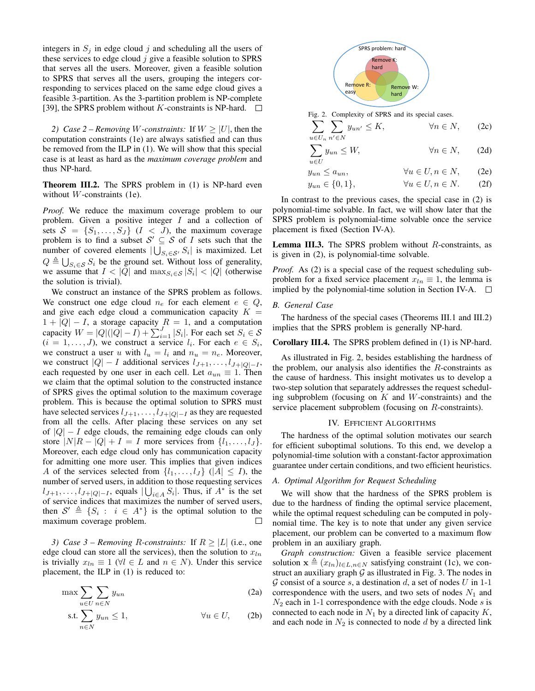integers in  $S_j$  in edge cloud j and scheduling all the users of these services to edge cloud  $j$  give a feasible solution to SPRS that serves all the users. Moreover, given a feasible solution to SPRS that serves all the users, grouping the integers corresponding to services placed on the same edge cloud gives a feasible 3-partition. As the 3-partition problem is NP-complete [39], the SPRS problem without  $K$ -constraints is NP-hard.  $\Box$ 

*2) Case 2 – Removing W-constraints:* If  $W \geq |U|$ , then the computation constraints (1e) are always satisfied and can thus be removed from the ILP in (1). We will show that this special case is at least as hard as the *maximum coverage problem* and thus NP-hard.

Theorem III.2. The SPRS problem in (1) is NP-hard even without  $W$ -constraints (1e).

*Proof.* We reduce the maximum coverage problem to our problem. Given a positive integer  $I$  and a collection of sets  $S = \{S_1, \ldots, S_J\}$   $(I \lt J)$ , the maximum coverage problem is to find a subset  $S' \subseteq S$  of I sets such that the number of covered elements  $|\bigcup_{S_i \in \mathcal{S}'} S_i|$  is maximized. Let  $Q \triangleq \bigcup_{S_i \in \mathcal{S}} S_i$  be the ground set. Without loss of generality, we assume that  $I < |Q|$  and  $\max_{S_i \in \mathcal{S}} |S_i| < |Q|$  (otherwise the solution is trivial).

We construct an instance of the SPRS problem as follows. We construct one edge cloud  $n_e$  for each element  $e \in Q$ , and give each edge cloud a communication capacity  $K =$  $1 + |Q| - I$ , a storage capacity  $R = 1$ , and a computation capacity  $W = |Q|(|Q| - I) + \sum_{i=1}^{J} |S_i|$ . For each set  $S_i \in \mathcal{S}$  $(i = 1, \ldots, J)$ , we construct a service  $l_i$ . For each  $e \in S_i$ , we construct a user u with  $l_u = l_i$  and  $n_u = n_e$ . Moreover, we construct  $|Q| - I$  additional services  $l_{J+1}, \ldots, l_{J+|Q|-I}$ , each requested by one user in each cell. Let  $a_{un} \equiv 1$ . Then we claim that the optimal solution to the constructed instance of SPRS gives the optimal solution to the maximum coverage problem. This is because the optimal solution to SPRS must have selected services  $l_{J+1}, \ldots, l_{J+|Q|-I}$  as they are requested from all the cells. After placing these services on any set of  $|Q| - I$  edge clouds, the remaining edge clouds can only store  $|N|R - |Q| + I = I$  more services from  $\{l_1, \ldots, l_J\}$ . Moreover, each edge cloud only has communication capacity for admitting one more user. This implies that given indices A of the services selected from  $\{l_1, \ldots, l_J\}$  ( $|A| \leq I$ ), the number of served users, in addition to those requesting services  $l_{J+1}, \ldots, l_{J+|Q|-I}$ , equals  $|\bigcup_{i \in A} S_i|$ . Thus, if  $A^*$  is the set of service indices that maximizes the number of served users, then  $S' \triangleq \{S_i : i \in A^*\}$  is the optimal solution to the maximum coverage problem.  $\Box$ 

*3)* Case 3 – Removing R-constraints: If  $R \geq |L|$  (i.e., one edge cloud can store all the services), then the solution to  $x_{ln}$ is trivially  $x_{ln} \equiv 1 \ (\forall l \in L \text{ and } n \in N)$ . Under this service placement, the ILP in (1) is reduced to:

$$
\max \sum_{u \in U} \sum_{n \in N} y_{un} \tag{2a}
$$

$$
\text{s.t.} \sum_{n \in N} y_{un} \le 1, \qquad \forall u \in U, \qquad \text{(2b)}
$$



Fig. 2. Complexity of SPRS and its special cases.

$$
\sum_{u \in U_n} \sum_{n' \in N} y_{un'} \le K, \qquad \forall n \in N, \qquad (2c)
$$

$$
\sum_{u \in U} y_{un} \le W, \qquad \forall n \in N, \qquad (2d)
$$

$$
y_{un} \le a_{un}, \qquad \forall u \in U, n \in N, \qquad (2e)
$$

$$
y_{un} \in \{0, 1\}, \qquad \forall u \in U, n \in N. \tag{2f}
$$

In contrast to the previous cases, the special case in (2) is polynomial-time solvable. In fact, we will show later that the SPRS problem is polynomial-time solvable once the service placement is fixed (Section IV-A).

**Lemma III.3.** The SPRS problem without  $R$ -constraints, as is given in (2), is polynomial-time solvable.

*Proof.* As (2) is a special case of the request scheduling subproblem for a fixed service placement  $x_{ln} \equiv 1$ , the lemma is implied by the polynomial-time solution in Section IV-A.  $\Box$ 

# *B. General Case*

The hardness of the special cases (Theorems III.1 and III.2) implies that the SPRS problem is generally NP-hard.

#### Corollary III.4. The SPRS problem defined in (1) is NP-hard.

As illustrated in Fig. 2, besides establishing the hardness of the problem, our analysis also identifies the  $R$ -constraints as the cause of hardness. This insight motivates us to develop a two-step solution that separately addresses the request scheduling subproblem (focusing on  $K$  and  $W$ -constraints) and the service placement subproblem (focusing on R-constraints).

#### IV. EFFICIENT ALGORITHMS

The hardness of the optimal solution motivates our search for efficient suboptimal solutions. To this end, we develop a polynomial-time solution with a constant-factor approximation guarantee under certain conditions, and two efficient heuristics.

#### *A. Optimal Algorithm for Request Scheduling*

We will show that the hardness of the SPRS problem is due to the hardness of finding the optimal service placement, while the optimal request scheduling can be computed in polynomial time. The key is to note that under any given service placement, our problem can be converted to a maximum flow problem in an auxiliary graph.

*Graph construction:* Given a feasible service placement solution  $\mathbf{x} \triangleq (x_{ln})_{l \in L, n \in N}$  satisfying constraint (1c), we construct an auxiliary graph  $\mathcal G$  as illustrated in Fig. 3. The nodes in G consist of a source s, a destination d, a set of nodes U in 1-1 correspondence with the users, and two sets of nodes  $N_1$  and  $N_2$  each in 1-1 correspondence with the edge clouds. Node s is connected to each node in  $N_1$  by a directed link of capacity  $K$ , and each node in  $N_2$  is connected to node d by a directed link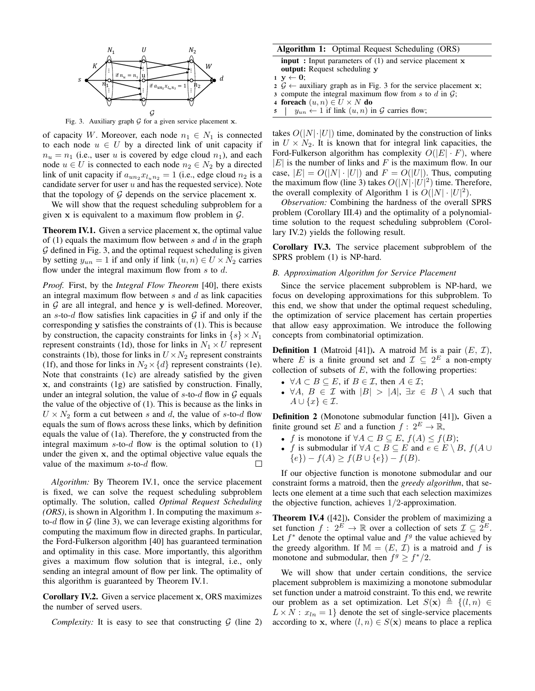

Fig. 3. Auxiliary graph  $G$  for a given service placement  $x$ .

of capacity W. Moreover, each node  $n_1 \in N_1$  is connected to each node  $u \in U$  by a directed link of unit capacity if  $n_u = n_1$  (i.e., user u is covered by edge cloud  $n_1$ ), and each node  $u \in U$  is connected to each node  $n_2 \in N_2$  by a directed link of unit capacity if  $a_{un_2} x_{l_1 n_2} = 1$  (i.e., edge cloud  $n_2$  is a candidate server for user  $u$  and has the requested service). Note that the topology of  $G$  depends on the service placement x.

We will show that the request scheduling subproblem for a given  $x$  is equivalent to a maximum flow problem in  $G$ .

**Theorem IV.1.** Given a service placement x, the optimal value of (1) equals the maximum flow between s and  $d$  in the graph  $G$  defined in Fig. 3, and the optimal request scheduling is given by setting  $y_{un} = 1$  if and only if link  $(u, n) \in U \times N_2$  carries flow under the integral maximum flow from  $s$  to  $d$ .

*Proof.* First, by the *Integral Flow Theorem* [40], there exists an integral maximum flow between  $s$  and  $d$  as link capacities in  $G$  are all integral, and hence y is well-defined. Moreover, an s-to-d flow satisfies link capacities in  $G$  if and only if the corresponding y satisfies the constraints of (1). This is because by construction, the capacity constraints for links in  $\{s\} \times N_1$ represent constraints (1d), those for links in  $N_1 \times U$  represent constraints (1b), those for links in  $U \times N_2$  represent constraints (1f), and those for links in  $N_2 \times \{d\}$  represent constraints (1e). Note that constraints (1c) are already satisfied by the given x, and constraints (1g) are satisfied by construction. Finally, under an integral solution, the value of  $s$ -to- $d$  flow in  $G$  equals the value of the objective of (1). This is because as the links in  $U \times N_2$  form a cut between s and d, the value of s-to-d flow equals the sum of flows across these links, which by definition equals the value of (1a). Therefore, the y constructed from the integral maximum s-to-d flow is the optimal solution to  $(1)$ under the given x, and the optimal objective value equals the value of the maximum  $s$ -to- $d$  flow.  $\Box$ 

*Algorithm:* By Theorem IV.1, once the service placement is fixed, we can solve the request scheduling subproblem optimally. The solution, called *Optimal Request Scheduling (ORS)*, is shown in Algorithm 1. In computing the maximum sto-d flow in  $G$  (line 3), we can leverage existing algorithms for computing the maximum flow in directed graphs. In particular, the Ford-Fulkerson algorithm [40] has guaranteed termination and optimality in this case. More importantly, this algorithm gives a maximum flow solution that is integral, i.e., only sending an integral amount of flow per link. The optimality of this algorithm is guaranteed by Theorem IV.1.

Corollary IV.2. Given a service placement x, ORS maximizes the number of served users.

*Complexity:* It is easy to see that constructing  $G$  (line 2)

## Algorithm 1: Optimal Request Scheduling (ORS)

input: Input parameters of (1) and service placement x output: Request scheduling y

- $1 \, y \leftarrow 0;$
- $2 \mathcal{G} \leftarrow$  auxiliary graph as in Fig. 3 for the service placement x;
- 3 compute the integral maximum flow from s to d in  $\mathcal{G}$ ;
- 4 foreach  $(u, n) \in U \times N$  do
- 5  $\vert y_{un} \leftarrow 1$  if link  $(u, n)$  in  $\mathcal G$  carries flow;

takes  $O(|N| \cdot |U|)$  time, dominated by the construction of links in  $U \times N_2$ . It is known that for integral link capacities, the Ford-Fulkerson algorithm has complexity  $O(|E| \cdot F)$ , where  $|E|$  is the number of links and F is the maximum flow. In our case,  $|E| = O(|N| \cdot |U|)$  and  $F = O(|U|)$ . Thus, computing the maximum flow (line 3) takes  $O(|N|\cdot|U|^2)$  time. Therefore, the overall complexity of Algorithm 1 is  $O(|N| \cdot |U|^2)$ .

*Observation:* Combining the hardness of the overall SPRS problem (Corollary III.4) and the optimality of a polynomialtime solution to the request scheduling subproblem (Corollary IV.2) yields the following result.

Corollary IV.3. The service placement subproblem of the SPRS problem (1) is NP-hard.

## *B. Approximation Algorithm for Service Placement*

Since the service placement subproblem is NP-hard, we focus on developing approximations for this subproblem. To this end, we show that under the optimal request scheduling, the optimization of service placement has certain properties that allow easy approximation. We introduce the following concepts from combinatorial optimization.

**Definition 1** (Matroid [41]). A matroid M is a pair  $(E, \mathcal{I})$ , where E is a finite ground set and  $\mathcal{I} \subseteq 2^E$  a non-empty collection of subsets of  $E$ , with the following properties:

- $\forall A \subset B \subseteq E$ , if  $B \in \mathcal{I}$ , then  $A \in \mathcal{I}$ ;
- $\forall A, B \in \mathcal{I}$  with  $|B| > |A|, \exists x \in B \setminus A$  such that  $A \cup \{x\} \in \mathcal{I}.$

Definition 2 (Monotone submodular function [41]). Given a finite ground set E and a function  $f: 2^E \to \mathbb{R}$ ,

- f is monotone if  $\forall A \subset B \subseteq E$ ,  $f(A) \leq f(B)$ ;
- f is submodular if  $\forall A \subset B \subseteq E$  and  $e \in E \setminus B$ ,  $f(A \cup$  ${e}) - f(A) > f(B \cup {e}) - f(B).$

If our objective function is monotone submodular and our constraint forms a matroid, then the *greedy algorithm*, that selects one element at a time such that each selection maximizes the objective function, achieves  $1/2$ -approximation.

Theorem IV.4 ([42]). Consider the problem of maximizing a set function  $f: 2^{\vec{E}} \to \mathbb{R}$  over a collection of sets  $\mathcal{I} \subseteq 2^{\vec{E}}$ . Let  $f^*$  denote the optimal value and  $f^g$  the value achieved by the greedy algorithm. If  $M = (E, \mathcal{I})$  is a matroid and f is monotone and submodular, then  $f^g \ge f^*/2$ .

We will show that under certain conditions, the service placement subproblem is maximizing a monotone submodular set function under a matroid constraint. To this end, we rewrite our problem as a set optimization. Let  $S(\mathbf{x}) \triangleq \{(l, n) \in$  $L \times N$ :  $x_{ln} = 1$  denote the set of single-service placements according to x, where  $(l, n) \in S(\mathbf{x})$  means to place a replica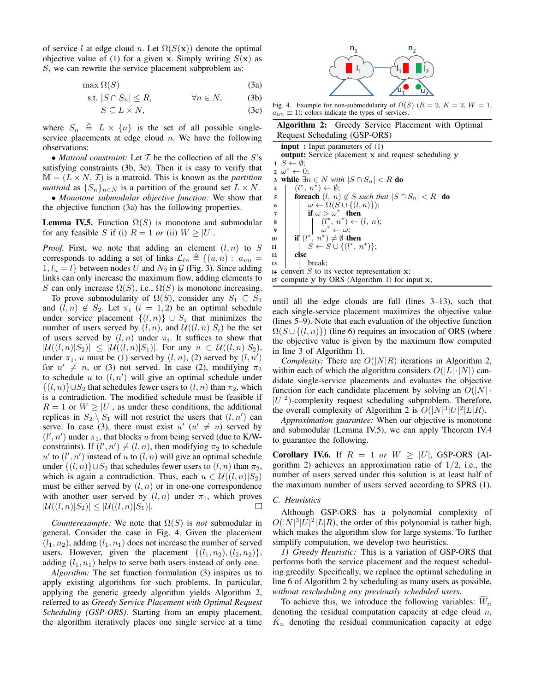of service l at edge cloud n. Let  $\Omega(S(\mathbf{x}))$  denote the optimal objective value of (1) for a given x. Simply writing  $S(x)$  as S, we can rewrite the service placement subproblem as:

$$
\max \Omega(S) \tag{3a}
$$

$$
\text{s.t. } |S \cap S_n| \le R, \qquad \forall n \in N, \qquad \text{(3b)}
$$

$$
S \subseteq L \times N,\tag{3c}
$$

where  $S_n \triangleq L \times \{n\}$  is the set of all possible singleservice placements at edge cloud  $n$ . We have the following observations:

• *Matroid constraint:* Let  $I$  be the collection of all the  $S$ 's satisfying constraints (3b, 3c). Then it is easy to verify that  $M = (L \times N, \mathcal{I})$  is a matroid. This is known as the *partition matroid* as  $\{S_n\}_{n\in\mathbb{N}}$  is a partition of the ground set  $L \times N$ .

• *Monotone submodular objective function:* We show that the objective function (3a) has the following properties.

**Lemma IV.5.** Function  $\Omega(S)$  is monotone and submodular for any feasible S if (i)  $R = 1$  or (ii)  $W > |U|$ .

*Proof.* First, we note that adding an element  $(l, n)$  to S corresponds to adding a set of links  $\mathcal{L}_{ln} \triangleq \{(u, n) : a_{un} =$  $1, l_u = l$ } between nodes U and  $N_2$  in G (Fig. 3). Since adding links can only increase the maximum flow, adding elements to S can only increase  $\Omega(S)$ , i.e.,  $\Omega(S)$  is monotone increasing.

To prove submodularity of  $\Omega(S)$ , consider any  $S_1 \subseteq S_2$ and  $(l, n) \notin S_2$ . Let  $\pi_i$   $(i = 1, 2)$  be an optimal schedule under service placement  $\{(l,n)\}\cup S_i$  that minimizes the number of users served by  $(l, n)$ , and  $\mathcal{U}((l, n)|S_i)$  be the set of users served by  $(l, n)$  under  $\pi_i$ . It suffices to show that  $|\mathcal{U}((l, n)|S_2)| \leq |\mathcal{U}((l, n)|S_1)|$ . For any  $u \in \mathcal{U}((l, n)|S_2)$ , under  $\pi_1$ , u must be (1) served by  $(l, n)$ , (2) served by  $(l, n')$ for  $n' \neq n$ , or (3) not served. In case (2), modifying  $\pi_2$ to schedule  $u$  to  $(l, n')$  will give an optimal schedule under  $\{(l, n)\}\cup S_2$  that schedules fewer users to  $(l, n)$  than  $\pi_2$ , which is a contradiction. The modified schedule must be feasible if  $R = 1$  or  $W \geq |U|$ , as under these conditions, the additional replicas in  $S_2 \setminus S_1$  will not restrict the users that  $(l, n')$  can serve. In case (3), there must exist  $u'$  ( $u' \neq u$ ) served by  $(l', n')$  under  $\pi_1$ , that blocks u from being served (due to K/Wconstraints). If  $(l', n') \neq (l, n)$ , then modifying  $\pi_2$  to schedule  $u'$  to  $(l', n')$  instead of u to  $(l, n)$  will give an optimal schedule under  $\{(l, n)\}\cup S_2$  that schedules fewer users to  $(l, n)$  than  $\pi_2$ , which is again a contradiction. Thus, each  $u \in \mathcal{U}((l, n)|S_2)$ must be either served by  $(l, n)$  or in one-one correspondence with another user served by  $(l, n)$  under  $\pi_1$ , which proves  $|\mathcal{U}((l, n)|S_2)| \leq |\mathcal{U}((l, n)|S_1)|.$ 

*Counterexample:* We note that  $\Omega(S)$  is *not* submodular in general. Consider the case in Fig. 4. Given the placement  $(l_1, n_2)$ , adding  $(l_1, n_1)$  does not increase the number of served users. However, given the placement  $\{(l_1, n_2), (l_2, n_2)\},\$ adding  $(l_1, n_1)$  helps to serve both users instead of only one.

*Algorithm:* The set function formulation (3) inspires us to apply existing algorithms for such problems. In particular, applying the generic greedy algorithm yields Algorithm 2, referred to as *Greedy Service Placement with Optimal Request Scheduling (GSP-ORS)*. Starting from an empty placement, the algorithm iteratively places one single service at a time



Fig. 4. Example for non-submodularity of  $\Omega(S)$  ( $R = 2$ ,  $K = 2$ ,  $W = 1$ ,  $a_{un} \equiv 1$ ); colors indicate the types of services.

| <b>Algorithm 2:</b> Greedy Service Placement with Optimal |  |  |  |
|-----------------------------------------------------------|--|--|--|
| Request Scheduling (GSP-ORS)                              |  |  |  |

input : Input parameters of (1) output: Service placement x and request scheduling y  $1 S \leftarrow \emptyset;$  $\omega^* \leftarrow 0;$ 3 **while**  $∃n ∈ N$  *with*  $|S ∩ S_n| < R$  **do** 4  $(l^*, n^*) \leftarrow \emptyset;$ 5 **for each**  $(l, n) \notin S$  *such that*  $|S \cap S_n| < R$  **do** 6  $\Box$   $\omega \leftarrow \Omega(S \cup \{(l,n)\});$  $7$  | if  $\omega > \omega^*$  then 8 | | | *(l* \*,  $n^*$ ) ←  $(l, n)$ ;  $\begin{array}{c} \mathbf{9} \\ \mathbf{0} \end{array}$   $\begin{array}{c} \mathbf{1} \\ \mathbf{1} \end{array}$   $\mathbf{1} \begin{array}{c} \mathbf{1} \\ \mathbf{1} \end{array}$   $\mathbf{1} \begin{array}{c} \mathbf{1} \\ \mathbf{1} \end{array}$   $\mathbf{1} \begin{array}{c} \mathbf{1} \\ \mathbf{1} \end{array}$   $\mathbf{1} \begin{array}{c} \mathbf{1} \\ \mathbf{1} \end{array}$   $\mathbf{1} \begin{array}{c} \mathbf{1} \\ \mathbf{1} \end$ 10  $\int$  if  $(l^*)$  $\mathbf{11}$   $\mid \quad$   $\mid$   $\quad$   $\stackrel{\sim}{S} \leftarrow$   $\stackrel{\sim}{S} \cup \{(l^*, n^*)\};$  $12$  else 13 | break; 14 convert  $S$  to its vector representation  $x$ ; <sup>15</sup> compute y by ORS (Algorithm 1) for input x;

until all the edge clouds are full (lines 3–13), such that each single-service placement maximizes the objective value (lines 5–9). Note that each evaluation of the objective function  $\Omega(S \cup \{(l,n)\})$  (line 6) requires an invocation of ORS (where the objective value is given by the maximum flow computed in line 3 of Algorithm 1).

*Complexity:* There are  $O(|N|R)$  iterations in Algorithm 2, within each of which the algorithm considers  $O(|L|\cdot|N|)$  candidate single-service placements and evaluates the objective function for each candidate placement by solving an  $O(|N| \cdot$  $|U|^2$ )-complexity request scheduling subproblem. Therefore, the overall complexity of Algorithm 2 is  $O(|N|^3|U|^2|L|R)$ .

*Approximation guarantee:* When our objective is monotone and submodular (Lemma IV.5), we can apply Theorem IV.4 to guarantee the following.

**Corollary IV.6.** If  $R = 1$  or  $W \geq |U|$ , GSP-ORS (Algorithm 2) achieves an approximation ratio of  $1/2$ , i.e., the number of users served under this solution is at least half of the maximum number of users served according to SPRS (1).

#### *C. Heuristics*

Although GSP-ORS has a polynomial complexity of  $O(|N|^3|U|^2|L|R)$ , the order of this polynomial is rather high, which makes the algorithm slow for large systems. To further simplify computation, we develop two heuristics.

*1) Greedy Heuristic:* This is a variation of GSP-ORS that performs both the service placement and the request scheduling greedily. Specifically, we replace the optimal scheduling in line 6 of Algorithm 2 by scheduling as many users as possible, *without rescheduling any previously scheduled users*.

To achieve this, we introduce the following variables:  $W_n$ denoting the residual computation capacity at edge cloud  $n$ ,  $K_n$  denoting the residual communication capacity at edge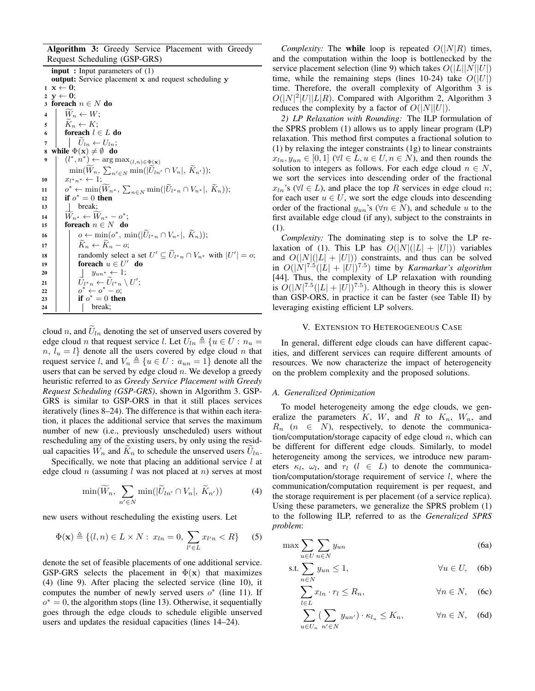Algorithm 3: Greedy Service Placement with Greedy Request Scheduling (GSP-GRS)

input : Input parameters of (1) output: Service placement x and request scheduling y  $1 \mathbf{x} \leftarrow 0;$ 2  $y \leftarrow 0$ ; 3 foreach  $n \in N$  do  $\begin{array}{c|c}\n\mathbf{4} & \widetilde{W}_n \leftarrow W; \\
\hline\n\tilde{K}_n \leftarrow K: \\
\end{array}$  $\begin{array}{c|c}\n5 & \tilde{K}_n \leftarrow K; \\
\hline\n6 & \text{foreach } l \in \n\end{array}$ foreach  $l \in L$  do 7  $\bigcup_{\mathbf{S}} \widetilde{U}_{ln} \leftarrow U_{ln};$ <br>8 while  $\Phi(\mathbf{x}) \neq \emptyset$  do while  $\Phi(\mathbf{x}) \neq \emptyset$  do 9  $(l^*, n^*) \leftarrow \arg \max_{(l,n) \in \Phi(\mathbf{x})}$  $\min(W_n, \sum_{n' \in N} \min(|U_{ln'} \cap V_n|, K_{n'}));$ 10  $x_{l^*n^*} \leftarrow 1;$  $\lim_{n \to \infty} \left[ \begin{array}{c} 0^* \leftarrow \min(\widetilde{W}_{n^*}, \sum_{n \in N} \min(|\widetilde{U}_{l^*n} \cap V_{n^*}|, \widetilde{K}_n)); \ 0 \leq \min\{n \leq n \} \end{array} \right]$ 12 if  $o^* = 0$  then 13 **break**; 14  $\widetilde{W}_{n^*} \leftarrow \widetilde{W}_{n^*} - o^*;$ 15 **foreach**  $n \in N$  do  $\begin{array}{ccc} \textsf{16} & | & \textsf{0}\leftarrow \min(\textsf{0}^*,\, \min(|\widetilde{U}_{l^*n}\cap V_{n^*}|,\, \widetilde{K}_n)); \ \textsf{16} & \textsf{26} \end{array}$ 17  $\begin{array}{|c|c|c|}\n\hline\n\end{array}$   $\begin{array}{|c|c|}\n\hline\n\end{array}$   $\begin{array}{|c|c|}\n\hline\n\end{array}$   $\begin{array}{|c|c|}\n\hline\n\end{array}$   $\begin{array}{|c|c|}\n\hline\n\end{array}$   $\begin{array}{|c|c|}\n\hline\n\end{array}$   $\begin{array}{|c|c|}\n\hline\n\end{array}$   $\begin{array}{|c|c|}\n\hline\n\end{array}$   $\begin{array}{|c|c|}\n\hline\n\end{array}$  18 randomly select a set  $U' \subseteq \widetilde{U}_{l^*n} \cap V_{n^*}$  with  $|U'| = o;$ 19 | foreach  $u \in U'$  do 20 | |  $y_{un*} \leftarrow 1;$  $\widetilde{U}_{l^*n} \leftarrow \widetilde{U}_{l^*n} \setminus U';$ 22  $\begin{array}{|c|c|c|c|c|}\n\hline\n& o^* \leftarrow o^* - o; \\\hline\n\end{array}$ 23  $\int$  if  $o^* = 0$  then  $24$  | | break:

cloud n, and  $U_{ln}$  denoting the set of unserved users covered by edge cloud *n* that request service *l*. Let  $U_{ln} \triangleq \{u \in U : n_u =$  $n, l_u = l$  denote all the users covered by edge cloud n that request service l, and  $V_n \triangleq \{u \in U : a_{un} = 1\}$  denote all the users that can be served by edge cloud  $n$ . We develop a greedy heuristic referred to as *Greedy Service Placement with Greedy Request Scheduling (GSP-GRS)*, shown in Algorithm 3. GSP-GRS is similar to GSP-ORS in that it still places services iteratively (lines 8–24). The difference is that within each iteration, it places the additional service that serves the maximum number of new (i.e., previously unscheduled) users without rescheduling any of the existing users, by only using the residual capacities  $W_n$  and  $K_n$  to schedule the unserved users  $U_{ln}$ .

Specifically, we note that placing an additional service  $l$  at edge cloud n (assuming l was not placed at n) serves at most

$$
\min(\widetilde{W}_n, \sum_{n' \in N} \min(|\widetilde{U}_{ln'} \cap V_n|, \widetilde{K}_{n'}))
$$
\n(4)

new users without rescheduling the existing users. Let

$$
\Phi(\mathbf{x}) \triangleq \{ (l, n) \in L \times N : x_{ln} = 0, \sum_{l' \in L} x_{l'n} < R \} \tag{5}
$$

denote the set of feasible placements of one additional service. GSP-GRS selects the placement in  $\Phi(\mathbf{x})$  that maximizes (4) (line 9). After placing the selected service (line 10), it computes the number of newly served users  $o^*$  (line 11). If  $o^* = 0$ , the algorithm stops (line 13). Otherwise, it sequentially goes through the edge clouds to schedule eligible unserved users and updates the residual capacities (lines 14–24).

*Complexity:* The while loop is repeated  $O(|N|R)$  times, and the computation within the loop is bottlenecked by the service placement selection (line 9) which takes  $O(|L||N||U|)$ time, while the remaining steps (lines 10-24) take  $O(|U|)$ time. Therefore, the overall complexity of Algorithm 3 is  $O(|N|^2|U||L|R)$ . Compared with Algorithm 2, Algorithm 3 reduces the complexity by a factor of  $O(|N||U|)$ .

*2) LP Relaxation with Rounding:* The ILP formulation of the SPRS problem (1) allows us to apply linear program (LP) relaxation. This method first computes a fractional solution to (1) by relaxing the integer constraints (1g) to linear constraints  $x_{ln}, y_{un} \in [0, 1]$  ( $\forall l \in L, u \in U, n \in N$ ), and then rounds the solution to integers as follows. For each edge cloud  $n \in N$ , we sort the services into descending order of the fractional  $x_{ln}$ 's (∀l ∈ L), and place the top R services in edge cloud n; for each user  $u \in U$ , we sort the edge clouds into descending order of the fractional  $y_{un}$ 's ( $\forall n \in N$ ), and schedule u to the first available edge cloud (if any), subject to the constraints in (1).

*Complexity:* The dominating step is to solve the LP relaxation of (1). This LP has  $O(|N|(|L| + |U|))$  variables and  $O(|N|(|L| + |U|))$  constraints, and thus can be solved in  $O(|N|^{7.5}(|L|+|U|)^{7.5})$  time by *Karmarkar's algorithm* [44]. Thus, the complexity of LP relaxation with rounding is  $O(|N|^{7.5}(|L|+|U|)^{7.5})$ . Although in theory this is slower than GSP-ORS, in practice it can be faster (see Table II) by leveraging existing efficient LP solvers.

## V. EXTENSION TO HETEROGENEOUS CASE

In general, different edge clouds can have different capacities, and different services can require different amounts of resources. We now characterize the impact of heterogeneity on the problem complexity and the proposed solutions.

## *A. Generalized Optimization*

To model heterogeneity among the edge clouds, we generalize the parameters  $K$ ,  $W$ , and  $R$  to  $K_n$ ,  $W_n$ , and  $R_n$  ( $n \in N$ ), respectively, to denote the communication/computation/storage capacity of edge cloud  $n$ , which can be different for different edge clouds. Similarly, to model heterogeneity among the services, we introduce new parameters  $\kappa_l$ ,  $\omega_l$ , and  $r_l$  ( $l \in L$ ) to denote the communication/computation/storage requirement of service l, where the communication/computation requirement is per request, and the storage requirement is per placement (of a service replica). Using these parameters, we generalize the SPRS problem (1) to the following ILP, referred to as the *Generalized SPRS problem*:

$$
\max \sum_{u \in U} \sum_{n \in N} y_{un} \tag{6a}
$$

$$
\text{s.t.} \sum_{n \in N} y_{un} \le 1, \qquad \forall u \in U, \quad \text{(6b)}
$$

$$
\sum_{l \in L} x_{ln} \cdot r_l \le R_n, \qquad \forall n \in N, \quad (6c)
$$

$$
\sum_{u \in U_n} \left( \sum_{n' \in N} y_{un'} \right) \cdot \kappa_{l_u} \le K_n, \qquad \forall n \in N, \quad \text{(6d)}
$$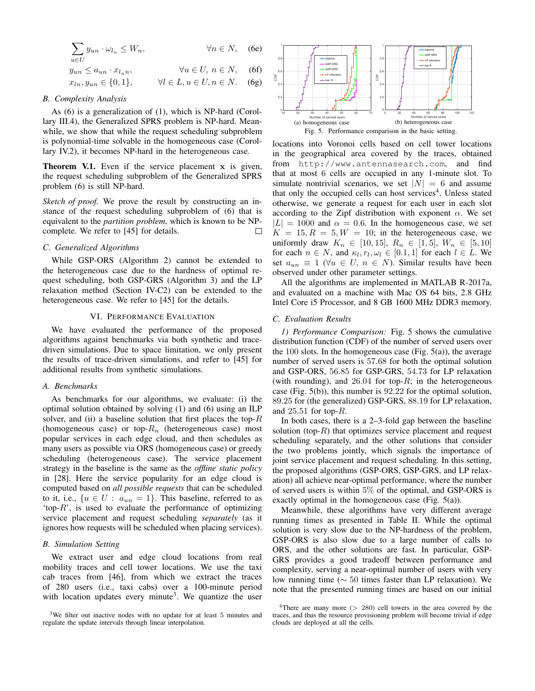$$
\sum_{u \in U} y_{un} \cdot \omega_{l_u} \le W_n, \qquad \forall n \in N, \quad \text{(6e)}
$$
\n
$$
y_{un} \le a_{un} \cdot x_{l_u n}, \qquad \forall u \in U, n \in N, \quad \text{(6f)}
$$
\n
$$
x_{ln}, y_{un} \in \{0, 1\}, \qquad \forall l \in L, u \in U, n \in N. \quad \text{(6g)}
$$

#### *B. Complexity Analysis*

As (6) is a generalization of (1), which is NP-hard (Corollary III.4), the Generalized SPRS problem is NP-hard. Meanwhile, we show that while the request scheduling subproblem is polynomial-time solvable in the homogeneous case (Corollary IV.2), it becomes NP-hard in the heterogeneous case.

Theorem V.1. Even if the service placement x is given, the request scheduling subproblem of the Generalized SPRS problem (6) is still NP-hard.

*Sketch of proof.* We prove the result by constructing an instance of the request scheduling subproblem of (6) that is equivalent to the *partition problem*, which is known to be NPcomplete. We refer to [45] for details.  $\Box$ 

#### *C. Generalized Algorithms*

While GSP-ORS (Algorithm 2) cannot be extended to the heterogeneous case due to the hardness of optimal request scheduling, both GSP-GRS (Algorithm 3) and the LP relaxation method (Section IV-C2) can be extended to the heterogeneous case. We refer to [45] for the details.

## VI. PERFORMANCE EVALUATION

We have evaluated the performance of the proposed algorithms against benchmarks via both synthetic and tracedriven simulations. Due to space limitation, we only present the results of trace-driven simulations, and refer to [45] for additional results from synthetic simulations.

#### *A. Benchmarks*

As benchmarks for our algorithms, we evaluate: (i) the optimal solution obtained by solving (1) and (6) using an ILP solver, and (ii) a baseline solution that first places the top- $R$ (homogeneous case) or top- $R_n$  (heterogeneous case) most popular services in each edge cloud, and then schedules as many users as possible via ORS (homogeneous case) or greedy scheduling (heterogeneous case). The service placement strategy in the baseline is the same as the *offline static policy* in [28]. Here the service popularity for an edge cloud is computed based on *all possible requests* that can be scheduled to it, i.e.,  $\{u \in U : a_{un} = 1\}$ . This baseline, referred to as 'top- $R$ ', is used to evaluate the performance of optimizing service placement and request scheduling *separately* (as it ignores how requests will be scheduled when placing services).

#### *B. Simulation Setting*

We extract user and edge cloud locations from real mobility traces and cell tower locations. We use the taxi cab traces from [46], from which we extract the traces of 280 users (i.e., taxi cabs) over a 100-minute period with location updates every minute<sup>3</sup>. We quantize the user



locations into Voronoi cells based on cell tower locations in the geographical area covered by the traces, obtained from http://www.antennasearch.com, and find that at most 6 cells are occupied in any 1-minute slot. To simulate nontrivial scenarios, we set  $|N| = 6$  and assume that only the occupied cells can host services<sup>4</sup>. Unless stated otherwise, we generate a request for each user in each slot according to the Zipf distribution with exponent  $\alpha$ . We set  $|L| = 1000$  and  $\alpha = 0.6$ . In the homogeneous case, we set  $K = 15, R = 5, W = 10$ ; in the heterogeneous case, we uniformly draw  $K_n \in [10, 15]$ ,  $R_n \in [1, 5]$ ,  $W_n \in [5, 10]$ for each  $n \in N$ , and  $\kappa_l, r_l, \omega_l \in [0.1, 1]$  for each  $l \in L$ . We set  $a_{un} \equiv 1 \ (\forall u \in U, n \in N)$ . Similar results have been observed under other parameter settings.

All the algorithms are implemented in MATLAB R-2017a, and evaluated on a machine with Mac OS 64 bits, 2.8 GHz Intel Core i5 Processor, and 8 GB 1600 MHz DDR3 memory.

## *C. Evaluation Results*

*1) Performance Comparison:* Fig. 5 shows the cumulative distribution function (CDF) of the number of served users over the 100 slots. In the homogeneous case (Fig.  $5(a)$ ), the average number of served users is 57.68 for both the optimal solution and GSP-ORS, 56.85 for GSP-GRS, 54.73 for LP relaxation (with rounding), and  $26.04$  for top-R; in the heterogeneous case (Fig. 5(b)), this number is 92.22 for the optimal solution, 89.25 for (the generalized) GSP-GRS, 88.19 for LP relaxation, and 25.51 for top-R.

In both cases, there is a 2–3-fold gap between the baseline solution (top- $R$ ) that optimizes service placement and request scheduling separately, and the other solutions that consider the two problems jointly, which signals the importance of joint service placement and request scheduling. In this setting, the proposed algorithms (GSP-ORS, GSP-GRS, and LP relaxation) all achieve near-optimal performance, where the number of served users is within 5% of the optimal, and GSP-ORS is exactly optimal in the homogeneous case (Fig. 5(a)).

Meanwhile, these algorithms have very different average running times as presented in Table II. While the optimal solution is very slow due to the NP-hardness of the problem, GSP-ORS is also slow due to a large number of calls to ORS, and the other solutions are fast. In particular, GSP-GRS provides a good tradeoff between performance and complexity, serving a near-optimal number of users with very low running time (∼ 50 times faster than LP relaxation). We note that the presented running times are based on our initial

<sup>&</sup>lt;sup>3</sup>We filter out inactive nodes with no update for at least 5 minutes and regulate the update intervals through linear interpolation.

<sup>&</sup>lt;sup>4</sup>There are many more ( $> 280$ ) cell towers in the area covered by the traces, and thus the resource provisioning problem will become trivial if edge clouds are deployed at all the cells.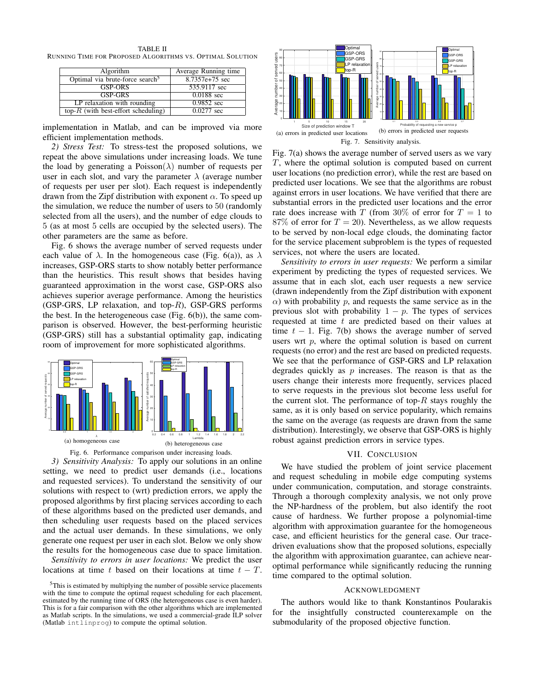TABLE II RUNNING TIME FOR PROPOSED ALGORITHMS VS. OPTIMAL SOLUTION

| Algorithm                                   | Average Running time |  |  |
|---------------------------------------------|----------------------|--|--|
| Optimal via brute-force search <sup>3</sup> | 8.7357e+75 sec       |  |  |
| <b>GSP-ORS</b>                              | 535.9117 sec         |  |  |
| <b>GSP-GRS</b>                              | $0.0188$ sec         |  |  |
| LP relaxation with rounding                 | 0.9852 sec           |  |  |
| top- $R$ (with best-effort scheduling)      | $0.0277$ sec         |  |  |

implementation in Matlab, and can be improved via more efficient implementation methods.

*2) Stress Test:* To stress-test the proposed solutions, we repeat the above simulations under increasing loads. We tune the load by generating a Poisson( $\lambda$ ) number of requests per user in each slot, and vary the parameter  $\lambda$  (average number of requests per user per slot). Each request is independently drawn from the Zipf distribution with exponent  $\alpha$ . To speed up the simulation, we reduce the number of users to 50 (randomly selected from all the users), and the number of edge clouds to 5 (as at most 5 cells are occupied by the selected users). The other parameters are the same as before.

Fig. 6 shows the average number of served requests under each value of  $\lambda$ . In the homogeneous case (Fig. 6(a)), as  $\lambda$ increases, GSP-ORS starts to show notably better performance than the heuristics. This result shows that besides having guaranteed approximation in the worst case, GSP-ORS also achieves superior average performance. Among the heuristics (GSP-GRS, LP relaxation, and top- $R$ ), GSP-GRS performs the best. In the heterogeneous case (Fig.  $6(b)$ ), the same comparison is observed. However, the best-performing heuristic (GSP-GRS) still has a substantial optimality gap, indicating room of improvement for more sophisticated algorithms.





*3) Sensitivity Analysis:* To apply our solutions in an online setting, we need to predict user demands (i.e., locations and requested services). To understand the sensitivity of our solutions with respect to (wrt) prediction errors, we apply the proposed algorithms by first placing services according to each of these algorithms based on the predicted user demands, and then scheduling user requests based on the placed services and the actual user demands. In these simulations, we only generate one request per user in each slot. Below we only show the results for the homogeneous case due to space limitation.

*Sensitivity to errors in user locations:* We predict the user locations at time t based on their locations at time  $t - T$ .



Fig. 7(a) shows the average number of served users as we vary T, where the optimal solution is computed based on current user locations (no prediction error), while the rest are based on predicted user locations. We see that the algorithms are robust against errors in user locations. We have verified that there are substantial errors in the predicted user locations and the error rate does increase with T (from 30% of error for  $T = 1$  to 87% of error for  $T = 20$ ). Nevertheless, as we allow requests to be served by non-local edge clouds, the dominating factor for the service placement subproblem is the types of requested services, not where the users are located.

*Sensitivity to errors in user requests:* We perform a similar experiment by predicting the types of requested services. We assume that in each slot, each user requests a new service (drawn independently from the Zipf distribution with exponent  $\alpha$ ) with probability p, and requests the same service as in the previous slot with probability  $1 - p$ . The types of services requested at time  $t$  are predicted based on their values at time  $t - 1$ . Fig. 7(b) shows the average number of served users wrt  $p$ , where the optimal solution is based on current requests (no error) and the rest are based on predicted requests. We see that the performance of GSP-GRS and LP relaxation degrades quickly as  $p$  increases. The reason is that as the users change their interests more frequently, services placed to serve requests in the previous slot become less useful for the current slot. The performance of top- $R$  stays roughly the same, as it is only based on service popularity, which remains the same on the average (as requests are drawn from the same distribution). Interestingly, we observe that GSP-ORS is highly robust against prediction errors in service types.

### VII. CONCLUSION

We have studied the problem of joint service placement and request scheduling in mobile edge computing systems under communication, computation, and storage constraints. Through a thorough complexity analysis, we not only prove the NP-hardness of the problem, but also identify the root cause of hardness. We further propose a polynomial-time algorithm with approximation guarantee for the homogeneous case, and efficient heuristics for the general case. Our tracedriven evaluations show that the proposed solutions, especially the algorithm with approximation guarantee, can achieve nearoptimal performance while significantly reducing the running time compared to the optimal solution.

### ACKNOWLEDGMENT

The authors would like to thank Konstantinos Poularakis for the insightfully constructed counterexample on the submodularity of the proposed objective function.

 $5$ This is estimated by multiplying the number of possible service placements with the time to compute the optimal request scheduling for each placement, estimated by the running time of ORS (the heterogeneous case is even harder). This is for a fair comparison with the other algorithms which are implemented as Matlab scripts. In the simulations, we used a commercial-grade ILP solver (Matlab intlinprog) to compute the optimal solution.